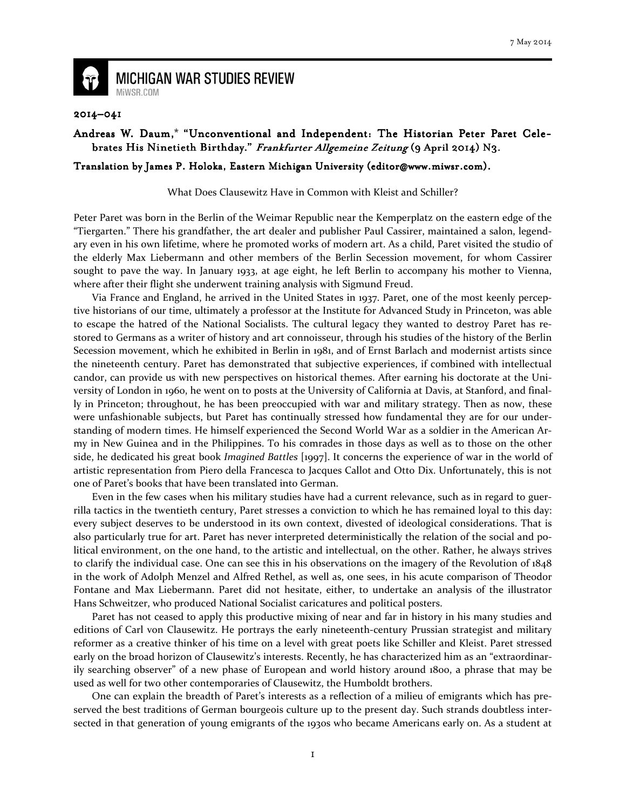

**MICHIGAN WAR STUDIES REVIEW** MiWSR.COM

## 2014–041

## Andreas W. Daum,\* "Unconventional and Independent: The Historian Peter Paret Celebrates His Ninetieth Birthday." Frankfurter Allgemeine Zeitung (9 April 2014) N3.

## Translation by James P. Holoka, Eastern Michigan University (editor@www.miwsr.com).

What Does Clausewitz Have in Common with Kleist and Schiller?

Peter Paret was born in the Berlin of the Weimar Republic near the Kemperplatz on the eastern edge of the "Tiergarten." There his grandfather, the art dealer and publisher Paul Cassirer, maintained a salon, legendary even in his own lifetime, where he promoted works of modern art. As a child, Paret visited the studio of the elderly Max Liebermann and other members of the Berlin Secession movement, for whom Cassirer sought to pave the way. In January 1933, at age eight, he left Berlin to accompany his mother to Vienna, where after their flight she underwent training analysis with Sigmund Freud.

 Via France and England, he arrived in the United States in 1937. Paret, one of the most keenly perceptive historians of our time, ultimately a professor at the Institute for Advanced Study in Princeton, was able to escape the hatred of the National Socialists. The cultural legacy they wanted to destroy Paret has restored to Germans as a writer of history and art connoisseur, through his studies of the history of the Berlin Secession movement, which he exhibited in Berlin in 1981, and of Ernst Barlach and modernist artists since the nineteenth century. Paret has demonstrated that subjective experiences, if combined with intellectual candor, can provide us with new perspectives on historical themes. After earning his doctorate at the University of London in 1960, he went on to posts at the University of California at Davis, at Stanford, and finally in Princeton; throughout, he has been preoccupied with war and military strategy. Then as now, these were unfashionable subjects, but Paret has continually stressed how fundamental they are for our understanding of modern times. He himself experienced the Second World War as a soldier in the American Army in New Guinea and in the Philippines. To his comrades in those days as well as to those on the other side, he dedicated his great book Imagined Battles [1997]. It concerns the experience of war in the world of artistic representation from Piero della Francesca to Jacques Callot and Otto Dix. Unfortunately, this is not one of Paret's books that have been translated into German.

 Even in the few cases when his military studies have had a current relevance, such as in regard to guerrilla tactics in the twentieth century, Paret stresses a conviction to which he has remained loyal to this day: every subject deserves to be understood in its own context, divested of ideological considerations. That is also particularly true for art. Paret has never interpreted deterministically the relation of the social and political environment, on the one hand, to the artistic and intellectual, on the other. Rather, he always strives to clarify the individual case. One can see this in his observations on the imagery of the Revolution of 1848 in the work of Adolph Menzel and Alfred Rethel, as well as, one sees, in his acute comparison of Theodor Fontane and Max Liebermann. Paret did not hesitate, either, to undertake an analysis of the illustrator Hans Schweitzer, who produced National Socialist caricatures and political posters.

 Paret has not ceased to apply this productive mixing of near and far in history in his many studies and editions of Carl von Clausewitz. He portrays the early nineteenth-century Prussian strategist and military reformer as a creative thinker of his time on a level with great poets like Schiller and Kleist. Paret stressed early on the broad horizon of Clausewitz's interests. Recently, he has characterized him as an "extraordinarily searching observer" of a new phase of European and world history around 1800, a phrase that may be used as well for two other contemporaries of Clausewitz, the Humboldt brothers.

 One can explain the breadth of Paret's interests as a reflection of a milieu of emigrants which has preserved the best traditions of German bourgeois culture up to the present day. Such strands doubtless intersected in that generation of young emigrants of the 1930s who became Americans early on. As a student at